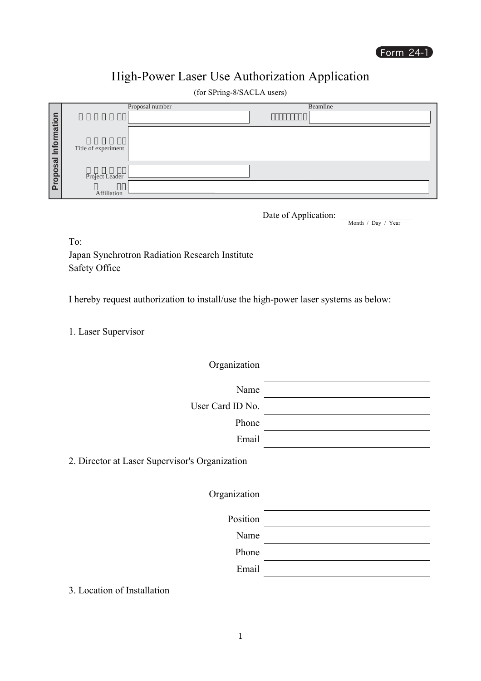## High-Power Laser Use Authorization Application

(for SPring-8/SACLA users)

|             |                     | Proposal number | Beamline |
|-------------|---------------------|-----------------|----------|
|             |                     |                 |          |
| Information |                     |                 |          |
|             |                     |                 |          |
|             | Title of experiment |                 |          |
|             |                     |                 |          |
| Proposal I  |                     |                 |          |
|             | Project Leader      |                 |          |
|             |                     |                 |          |
|             | Affiliation         |                 |          |

Date of Application:  $\frac{1}{\sqrt{N}}$  Month / Day / Year

To:

Japan Synchrotron Radiation Research Institute Safety Office

I hereby request authorization to install/use the high-power laser systems as below:

1. Laser Supervisor

Organization

Name

User Card ID No.

Phone Email

2. Director at Laser Supervisor's Organization

Organization

Position

Name

Phone

Email

3. Location of Installation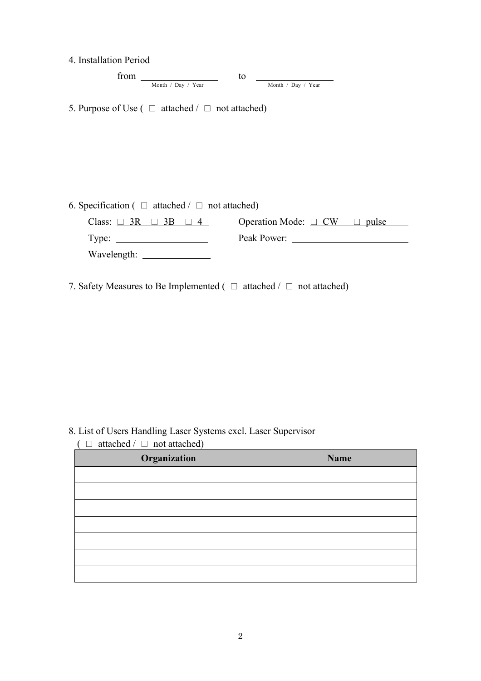| 4. Installation Period |
|------------------------|
|------------------------|

| from |                    |                    |
|------|--------------------|--------------------|
|      | Month / Day / Year | Month / Day / Year |

5. Purpose of Use ( $\Box$  attached /  $\Box$  not attached)

| 6. Specification ( $\Box$ attached / $\Box$ not attached) |                                        |  |  |  |
|-----------------------------------------------------------|----------------------------------------|--|--|--|
| Class: $\Box$ 3R $\Box$ 3B $\Box$ 4                       | Operation Mode: $\Box$ CW $\Box$ pulse |  |  |  |
| Type:                                                     | Peak Power:                            |  |  |  |
| Wavelength:                                               |                                        |  |  |  |

7. Safety Measures to Be Implemented ( $\Box$  attached /  $\Box$  not attached)

8. List of Users Handling Laser Systems excl. Laser Supervisor

 $($   $\Box$  attached  $/$   $\Box$  not attached)

| Organization | Name |
|--------------|------|
|              |      |
|              |      |
|              |      |
|              |      |
|              |      |
|              |      |
|              |      |